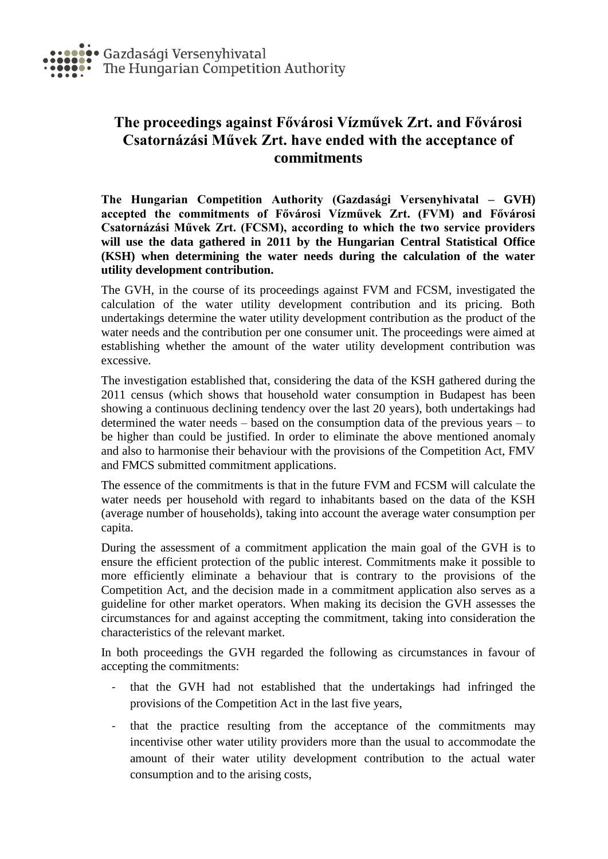## **The proceedings against Fővárosi Vízművek Zrt. and Fővárosi Csatornázási Művek Zrt. have ended with the acceptance of commitments**

**The Hungarian Competition Authority (Gazdasági Versenyhivatal – GVH) accepted the commitments of Fővárosi Vízművek Zrt. (FVM) and Fővárosi Csatornázási Művek Zrt. (FCSM), according to which the two service providers will use the data gathered in 2011 by the Hungarian Central Statistical Office (KSH) when determining the water needs during the calculation of the water utility development contribution.**

The GVH, in the course of its proceedings against FVM and FCSM, investigated the calculation of the water utility development contribution and its pricing. Both undertakings determine the water utility development contribution as the product of the water needs and the contribution per one consumer unit. The proceedings were aimed at establishing whether the amount of the water utility development contribution was excessive.

The investigation established that, considering the data of the KSH gathered during the 2011 census (which shows that household water consumption in Budapest has been showing a continuous declining tendency over the last 20 years), both undertakings had determined the water needs – based on the consumption data of the previous years – to be higher than could be justified. In order to eliminate the above mentioned anomaly and also to harmonise their behaviour with the provisions of the Competition Act, FMV and FMCS submitted commitment applications.

The essence of the commitments is that in the future FVM and FCSM will calculate the water needs per household with regard to inhabitants based on the data of the KSH (average number of households), taking into account the average water consumption per capita.

During the assessment of a commitment application the main goal of the GVH is to ensure the efficient protection of the public interest. Commitments make it possible to more efficiently eliminate a behaviour that is contrary to the provisions of the Competition Act, and the decision made in a commitment application also serves as a guideline for other market operators. When making its decision the GVH assesses the circumstances for and against accepting the commitment, taking into consideration the characteristics of the relevant market.

In both proceedings the GVH regarded the following as circumstances in favour of accepting the commitments:

- that the GVH had not established that the undertakings had infringed the provisions of the Competition Act in the last five years,
- that the practice resulting from the acceptance of the commitments may incentivise other water utility providers more than the usual to accommodate the amount of their water utility development contribution to the actual water consumption and to the arising costs,